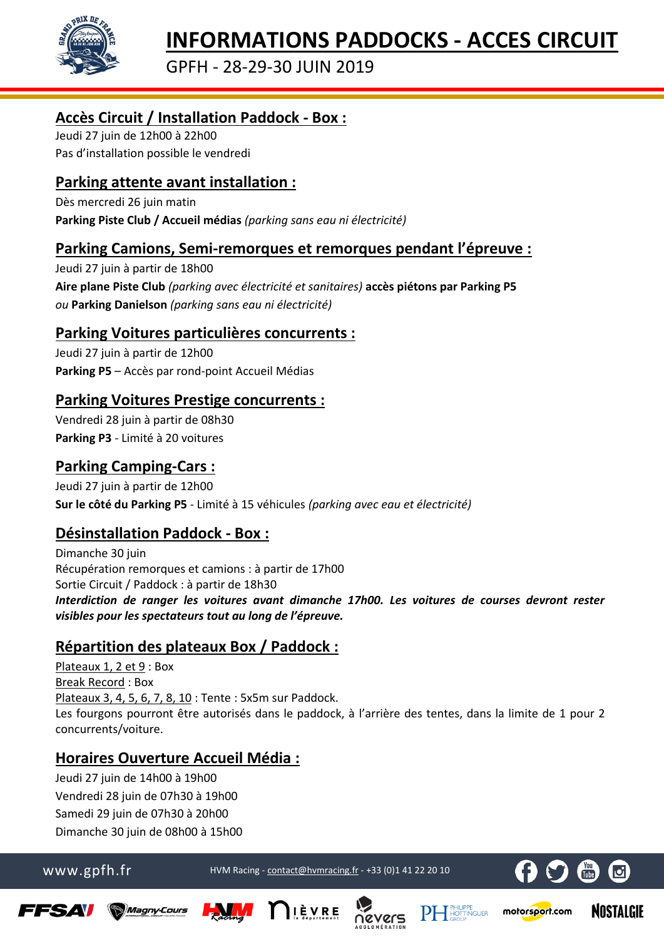

GPFH - 28-29-30 JUIN 2019

## **Accès Circuit / Installation Paddock - Box :**

Jeudi 27 juin de 12h00 à 22h00 Pas d'installation possible le vendredi

# **Parking attente avant installation :**

Dès mercredi 26 juin matin **Parking Piste Club / Accueil médias** *(parking sans eau ni électricité)*

## **Parking Camions, Semi-remorques et remorques pendant l'épreuve :**

Jeudi 27 juin à partir de 18h00 **Aire plane Piste Club** *(parking avec électricité et sanitaires)* **accès piétons par Parking P5** *ou* **Parking Danielson** *(parking sans eau ni électricité)*

#### **Parking Voitures particulières concurrents :**

Jeudi 27 juin à partir de 12h00 **Parking P5** – Accès par rond-point Accueil Médias

### **Parking Voitures Prestige concurrents :**

Vendredi 28 juin à partir de 08h30 **Parking P3** - Limité à 20 voitures

### **Parking Camping-Cars :**

Jeudi 27 juin à partir de 12h00 **Sur le côté du Parking P5** - Limité à 15 véhicules *(parking avec eau et électricité)*

# **Désinstallation Paddock - Box :**

Dimanche 30 juin Récupération remorques et camions : à partir de 17h00 Sortie Circuit / Paddock : à partir de 18h30 *Interdiction de ranger les voitures avant dimanche 17h00. Les voitures de courses devront rester visibles pour les spectateurs tout au long de l'épreuve.*

# **Répartition des plateaux Box / Paddock :**

Plateaux 1, 2 et 9 : Box Break Record : Box Plateaux 3, 4, 5, 6, 7, 8, 10 : Tente : 5x5m sur Paddock. Les fourgons pourront être autorisés dans le paddock, à l'arrière des tentes, dans la limite de 1 pour 2 concurrents/voiture.

# **Horaires Ouverture Accueil Média :**

Jeudi 27 juin de 14h00 à 19h00 Vendredi 28 juin de 07h30 à 19h00 Samedi 29 juin de 07h30 à 20h00 Dimanche 30 juin de 08h00 à 15h00

www.gpfh.fr HVM Racing - [contact@hvmracing.fr](mailto:contact@hvmracing.fr) - +33 (0)1 41 22 20 10



motorsport.com

**NOSTALGIE** 









**PHLIPPE**<br>GROUP